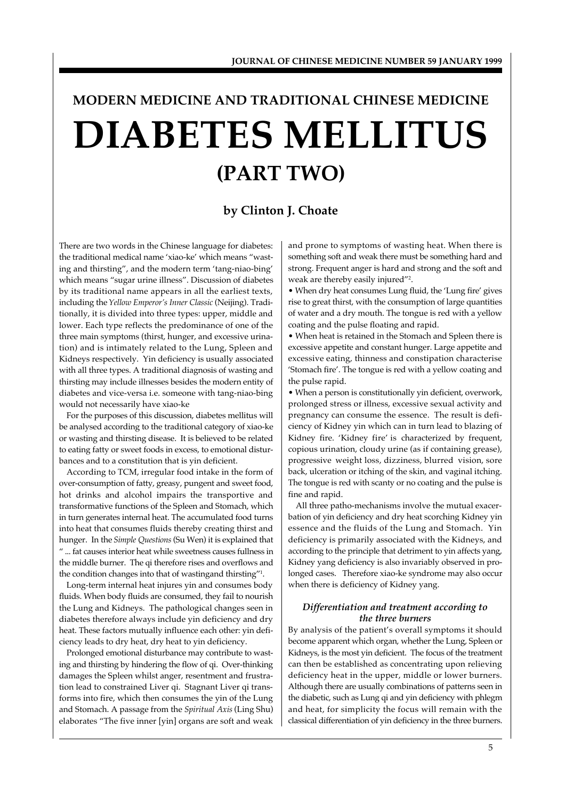# **DIABETES MELLITUS (PART TWO) MODERN MEDICINE AND TRADITIONAL CHINESE MEDICINE**

# **by Clinton J. Choate**

There are two words in the Chinese language for diabetes: the traditional medical name 'xiao-ke' which means "wasting and thirsting", and the modern term 'tang-niao-bing' which means "sugar urine illness". Discussion of diabetes by its traditional name appears in all the earliest texts, including the *Yellow Emperor's Inner Classic* (Neijing). Traditionally, it is divided into three types: upper, middle and lower. Each type reflects the predominance of one of the three main symptoms (thirst, hunger, and excessive urination) and is intimately related to the Lung, Spleen and Kidneys respectively. Yin deficiency is usually associated with all three types. A traditional diagnosis of wasting and thirsting may include illnesses besides the modern entity of diabetes and vice-versa i.e. someone with tang-niao-bing would not necessarily have xiao-ke

For the purposes of this discussion, diabetes mellitus will be analysed according to the traditional category of xiao-ke or wasting and thirsting disease. It is believed to be related to eating fatty or sweet foods in excess, to emotional disturbances and to a constitution that is yin deficient.

According to TCM, irregular food intake in the form of over-consumption of fatty, greasy, pungent and sweet food, hot drinks and alcohol impairs the transportive and transformative functions of the Spleen and Stomach, which in turn generates internal heat. The accumulated food turns into heat that consumes fluids thereby creating thirst and hunger. In the *Simple Questions* (Su Wen) it is explained that " ... fat causes interior heat while sweetness causes fullness in the middle burner. The qi therefore rises and overflows and the condition changes into that of wastingand thirsting"<sup>1</sup> .

Long-term internal heat injures yin and consumes body fluids. When body fluids are consumed, they fail to nourish the Lung and Kidneys. The pathological changes seen in diabetes therefore always include yin deficiency and dry heat. These factors mutually influence each other: yin deficiency leads to dry heat, dry heat to yin deficiency.

Prolonged emotional disturbance may contribute to wasting and thirsting by hindering the flow of qi. Over-thinking damages the Spleen whilst anger, resentment and frustration lead to constrained Liver qi. Stagnant Liver qi transforms into fire, which then consumes the yin of the Lung and Stomach. A passage from the *Spiritual Axis* (Ling Shu) elaborates "The five inner [yin] organs are soft and weak and prone to symptoms of wasting heat. When there is something soft and weak there must be something hard and strong. Frequent anger is hard and strong and the soft and weak are thereby easily injured"<sup>2</sup> .

• When dry heat consumes Lung fluid, the 'Lung fire' gives rise to great thirst, with the consumption of large quantities of water and a dry mouth. The tongue is red with a yellow coating and the pulse floating and rapid.

• When heat is retained in the Stomach and Spleen there is excessive appetite and constant hunger. Large appetite and excessive eating, thinness and constipation characterise 'Stomach fire'. The tongue is red with a yellow coating and the pulse rapid.

• When a person is constitutionally yin deficient, overwork, prolonged stress or illness, excessive sexual activity and pregnancy can consume the essence. The result is deficiency of Kidney yin which can in turn lead to blazing of Kidney fire. 'Kidney fire' is characterized by frequent, copious urination, cloudy urine (as if containing grease), progressive weight loss, dizziness, blurred vision, sore back, ulceration or itching of the skin, and vaginal itching. The tongue is red with scanty or no coating and the pulse is fine and rapid.

All three patho-mechanisms involve the mutual exacerbation of yin deficiency and dry heat scorching Kidney yin essence and the fluids of the Lung and Stomach. Yin deficiency is primarily associated with the Kidneys, and according to the principle that detriment to yin affects yang, Kidney yang deficiency is also invariably observed in prolonged cases. Therefore xiao-ke syndrome may also occur when there is deficiency of Kidney yang.

# *Differentiation and treatment according to the three burners*

By analysis of the patient's overall symptoms it should become apparent which organ, whether the Lung, Spleen or Kidneys, is the most yin deficient. The focus of the treatment can then be established as concentrating upon relieving deficiency heat in the upper, middle or lower burners. Although there are usually combinations of patterns seen in the diabetic, such as Lung qi and yin deficiency with phlegm and heat, for simplicity the focus will remain with the classical differentiation of yin deficiency in the three burners.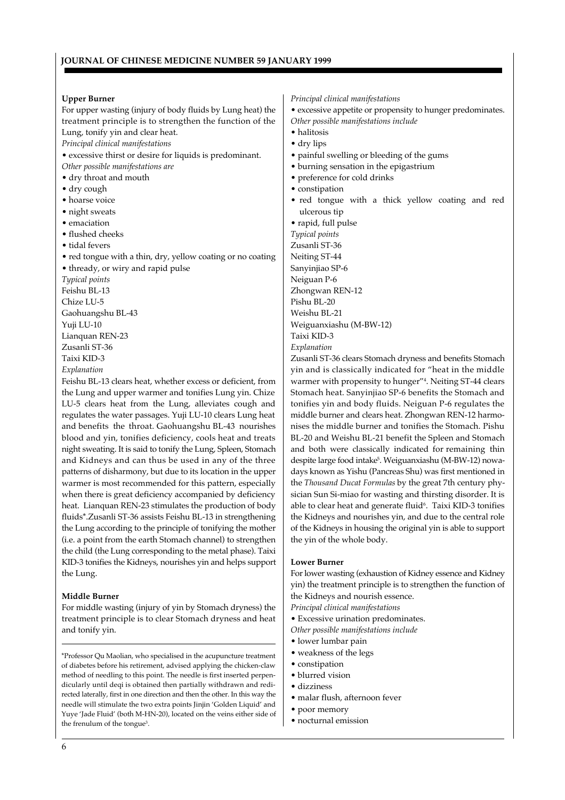#### **Upper Burner**

For upper wasting (injury of body fluids by Lung heat) the treatment principle is to strengthen the function of the Lung, tonify yin and clear heat.

*Principal clinical manifestations*

• excessive thirst or desire for liquids is predominant.

*Other possible manifestations are*

- dry throat and mouth
- dry cough
- hoarse voice
- night sweats
- emaciation
- flushed cheeks
- tidal fevers
- red tongue with a thin, dry, yellow coating or no coating • thready, or wiry and rapid pulse

*Typical points* Feishu BL-13 Chize LU-5 Gaohuangshu BL-43 Yuji LU-10

Lianquan REN-23

Zusanli ST-36

Taixi KID-3

*Explanation*

Feishu BL-13 clears heat, whether excess or deficient, from the Lung and upper warmer and tonifies Lung yin. Chize LU-5 clears heat from the Lung, alleviates cough and regulates the water passages. Yuji LU-10 clears Lung heat and benefits the throat. Gaohuangshu BL-43 nourishes blood and yin, tonifies deficiency, cools heat and treats night sweating. It is said to tonify the Lung, Spleen, Stomach and Kidneys and can thus be used in any of the three patterns of disharmony, but due to its location in the upper warmer is most recommended for this pattern, especially when there is great deficiency accompanied by deficiency heat. Lianquan REN-23 stimulates the production of body fluids\*.Zusanli ST-36 assists Feishu BL-13 in strengthening the Lung according to the principle of tonifying the mother (i.e. a point from the earth Stomach channel) to strengthen the child (the Lung corresponding to the metal phase). Taixi KID-3 tonifies the Kidneys, nourishes yin and helps support the Lung.

# **Middle Burner**

For middle wasting (injury of yin by Stomach dryness) the treatment principle is to clear Stomach dryness and heat and tonify yin.

\*Professor Qu Maolian, who specialised in the acupuncture treatment of diabetes before his retirement, advised applying the chicken-claw method of needling to this point. The needle is first inserted perpendicularly until deqi is obtained then partially withdrawn and redirected laterally, first in one direction and then the other. In this way the needle will stimulate the two extra points Jinjin 'Golden Liquid' and Yuye 'Jade Fluid' (both M-HN-20), located on the veins either side of the frenulum of the tongue<sup>3</sup>.

*Principal clinical manifestations*

• excessive appetite or propensity to hunger predominates. *Other possible manifestations include*

- halitosis
- dry lips
- painful swelling or bleeding of the gums
- burning sensation in the epigastrium
- preference for cold drinks
- constipation
- red tongue with a thick yellow coating and red ulcerous tip

• rapid, full pulse

*Typical points* Zusanli ST-36 Neiting ST-44 Sanyinjiao SP-6 Neiguan P-6 Zhongwan REN-12 Pishu BL-20 Weishu BL-21 Weiguanxiashu (M-BW-12) Taixi KID-3 *Explanation*

Zusanli ST-36 clears Stomach dryness and benefits Stomach yin and is classically indicated for "heat in the middle warmer with propensity to hunger"<sup>4</sup> . Neiting ST-44 clears Stomach heat. Sanyinjiao SP-6 benefits the Stomach and tonifies yin and body fluids. Neiguan P-6 regulates the middle burner and clears heat. Zhongwan REN-12 harmonises the middle burner and tonifies the Stomach. Pishu BL-20 and Weishu BL-21 benefit the Spleen and Stomach and both were classically indicated for remaining thin despite large food intake<sup>5</sup> . Weiguanxiashu (M-BW-12) nowadays known as Yishu (Pancreas Shu) was first mentioned in the *Thousand Ducat Formulas* by the great 7th century physician Sun Si-miao for wasting and thirsting disorder. It is able to clear heat and generate fluid<sup>6</sup>. Taixi KID-3 tonifies the Kidneys and nourishes yin, and due to the central role of the Kidneys in housing the original yin is able to support the yin of the whole body.

#### **Lower Burner**

For lower wasting (exhaustion of Kidney essence and Kidney yin) the treatment principle is to strengthen the function of the Kidneys and nourish essence.

*Principal clinical manifestations*

- Excessive urination predominates.
- *Other possible manifestations include*
- lower lumbar pain
- weakness of the legs
- constipation
	- blurred vision
	- dizziness
	- malar flush, afternoon fever
	- poor memory • nocturnal emission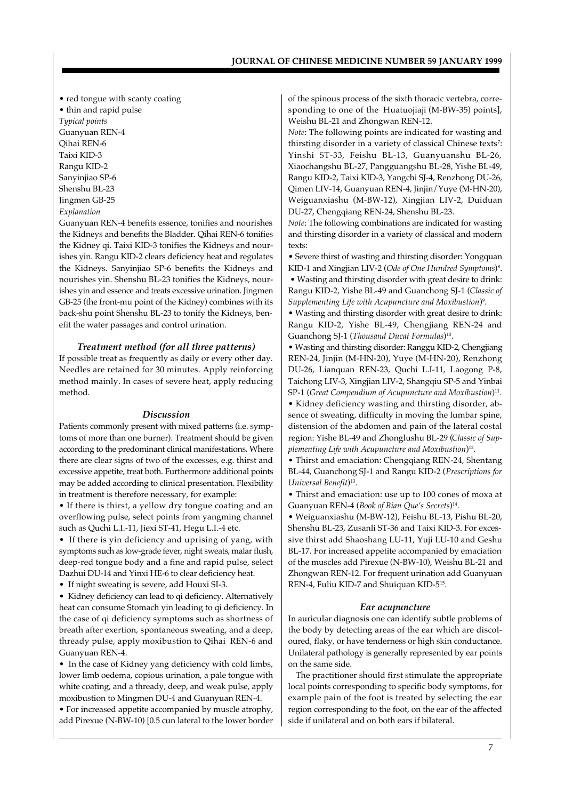• red tongue with scanty coating

• thin and rapid pulse

*Typical points* Guanyuan REN-4 Qihai REN-6 Taixi KID-3 Rangu KID-2 Sanyinjiao SP-6 Shenshu BL-23 Jingmen GB-25 *Explanation*

Guanyuan REN-4 benefits essence, tonifies and nourishes the Kidneys and benefits the Bladder. Qihai REN-6 tonifies the Kidney qi. Taixi KID-3 tonifies the Kidneys and nourishes yin. Rangu KID-2 clears deficiency heat and regulates the Kidneys. Sanyinjiao SP-6 benefits the Kidneys and nourishes yin. Shenshu BL-23 tonifies the Kidneys, nourishes yin and essence and treats excessive urination. Jingmen GB-25 (the front-mu point of the Kidney) combines with its back-shu point Shenshu BL-23 to tonify the Kidneys, benefit the water passages and control urination.

#### *Treatment method (for all three patterns)*

If possible treat as frequently as daily or every other day. Needles are retained for 30 minutes. Apply reinforcing method mainly. In cases of severe heat, apply reducing method.

#### *Discussion*

Patients commonly present with mixed patterns (i.e. symptoms of more than one burner). Treatment should be given according to the predominant clinical manifestations. Where there are clear signs of two of the excesses, e.g. thirst and excessive appetite, treat both. Furthermore additional points may be added according to clinical presentation. Flexibility in treatment is therefore necessary, for example:

• If there is thirst, a yellow dry tongue coating and an overflowing pulse, select points from yangming channel such as Quchi L.I.-11, Jiexi ST-41, Hegu L.I.-4 etc.

• If there is yin deficiency and uprising of yang, with symptoms such as low-grade fever, night sweats, malar flush, deep-red tongue body and a fine and rapid pulse, select Dazhui DU-14 and Yinxi HE-6 to clear deficiency heat.

• If night sweating is severe, add Houxi SI-3.

• Kidney deficiency can lead to qi deficiency. Alternatively heat can consume Stomach yin leading to qi deficiency. In the case of qi deficiency symptoms such as shortness of breath after exertion, spontaneous sweating, and a deep, thready pulse, apply moxibustion to Qihai REN-6 and Guanyuan REN-4.

• In the case of Kidney yang deficiency with cold limbs, lower limb oedema, copious urination, a pale tongue with white coating, and a thready, deep, and weak pulse, apply moxibustion to Mingmen DU-4 and Guanyuan REN-4.

• For increased appetite accompanied by muscle atrophy, add Pirexue (N-BW-10) [0.5 cun lateral to the lower border of the spinous process of the sixth thoracic vertebra, corresponding to one of the Huatuojiaji (M-BW-35) points], Weishu BL-21 and Zhongwan REN-12.

*Note*: The following points are indicated for wasting and thirsting disorder in a variety of classical Chinese texts<sup>7</sup>: Yinshi ST-33, Feishu BL-13, Guanyuanshu BL-26, Xiaochangshu BL-27, Pangguangshu BL-28, Yishe BL-49, Rangu KID-2, Taixi KID-3, Yangchi SJ-4, Renzhong DU-26, Qimen LIV-14, Guanyuan REN-4, Jinjin/Yuye (M-HN-20), Weiguanxiashu (M-BW-12), Xingjian LIV-2, Duiduan DU-27, Chengqiang REN-24, Shenshu BL-23.

*Note*: The following combinations are indicated for wasting and thirsting disorder in a variety of classical and modern texts:

• Severe thirst of wasting and thirsting disorder: Yongquan KID-1 and Xingjian LIV-2 (*Ode of One Hundred Symptoms*) 8 . • Wasting and thirsting disorder with great desire to drink: Rangu KID-2, Yishe BL-49 and Guanchong SJ-1 (*Classic of Supplementing Life with Acupuncture and Moxibustion*) 9 .

• Wasting and thirsting disorder with great desire to drink: Rangu KID-2, Yishe BL-49, Chengjiang REN-24 and Guanchong SJ-1 (*Thousand Ducat Formulas*) 10 .

• Wasting and thirsting disorder: Ranggu KID-2, Chengjiang REN-24, Jinjin (M-HN-20), Yuye (M-HN-20), Renzhong DU-26, Lianquan REN-23, Quchi L.I-11, Laogong P-8, Taichong LIV-3, Xingjian LIV-2, Shangqiu SP-5 and Yinbai SP-1 (*Great Compendium of Acupuncture and Moxibustion*) 11 .

• Kidney deficiency wasting and thirsting disorder, absence of sweating, difficulty in moving the lumbar spine, distension of the abdomen and pain of the lateral costal region: Yishe BL-49 and Zhonglushu BL-29 (*Classic of Supplementing Life with Acupuncture and Moxibustion*) 12 .

• Thirst and emaciation: Chengqiang REN-24, Shentang BL-44, Guanchong SJ-1 and Rangu KID-2 (*Prescriptions for Universal Benefit*) 13 .

• Thirst and emaciation: use up to 100 cones of moxa at Guanyuan REN-4 (*Book of Bian Que's Secrets*) 14 .

• Weiguanxiashu (M-BW-12), Feishu BL-13, Pishu BL-20, Shenshu BL-23, Zusanli ST-36 and Taixi KID-3. For excessive thirst add Shaoshang LU-11, Yuji LU-10 and Geshu BL-17. For increased appetite accompanied by emaciation of the muscles add Pirexue (N-BW-10), Weishu BL-21 and Zhongwan REN-12. For frequent urination add Guanyuan REN-4, Fuliu KID-7 and Shuiquan KID-5<sup>15</sup>.

#### *Ear acupuncture*

In auricular diagnosis one can identify subtle problems of the body by detecting areas of the ear which are discoloured, flaky, or have tenderness or high skin conductance. Unilateral pathology is generally represented by ear points on the same side.

The practitioner should first stimulate the appropriate local points corresponding to specific body symptoms, for example pain of the foot is treated by selecting the ear region corresponding to the foot, on the ear of the affected side if unilateral and on both ears if bilateral.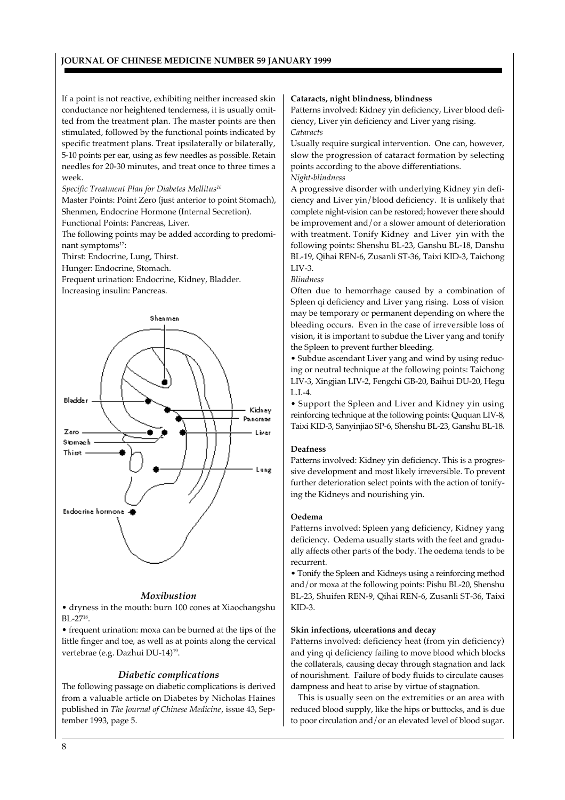If a point is not reactive, exhibiting neither increased skin conductance nor heightened tenderness, it is usually omitted from the treatment plan. The master points are then stimulated, followed by the functional points indicated by specific treatment plans. Treat ipsilaterally or bilaterally, 5-10 points per ear, using as few needles as possible. Retain needles for 20-30 minutes, and treat once to three times a week.

*Specific Treatment Plan for Diabetes Mellitus<sup>16</sup>*

Master Points: Point Zero (just anterior to point Stomach), Shenmen, Endocrine Hormone (Internal Secretion).

Functional Points: Pancreas, Liver.

The following points may be added according to predominant symptoms<sup>17</sup>:

Thirst: Endocrine, Lung, Thirst.

Hunger: Endocrine, Stomach.

Frequent urination: Endocrine, Kidney, Bladder. Increasing insulin: Pancreas.



#### *Moxibustion*

• dryness in the mouth: burn 100 cones at Xiaochangshu  $BL-27^{18}$ .

• frequent urination: moxa can be burned at the tips of the little finger and toe, as well as at points along the cervical vertebrae (e.g. Dazhui DU-14)19.

# *Diabetic complications*

The following passage on diabetic complications is derived from a valuable article on Diabetes by Nicholas Haines published in *The Journal of Chinese Medicine*, issue 43, September 1993, page 5.

#### **Cataracts, night blindness, blindness**

Patterns involved: Kidney yin deficiency, Liver blood deficiency, Liver yin deficiency and Liver yang rising. *Cataracts*

Usually require surgical intervention. One can, however, slow the progression of cataract formation by selecting points according to the above differentiations. *Night-blindness*

A progressive disorder with underlying Kidney yin deficiency and Liver yin/blood deficiency. It is unlikely that complete night-vision can be restored; however there should be improvement and/or a slower amount of deterioration with treatment. Tonify Kidney and Liver yin with the following points: Shenshu BL-23, Ganshu BL-18, Danshu BL-19, Qihai REN-6, Zusanli ST-36, Taixi KID-3, Taichong LIV-3.

# *Blindness*

Often due to hemorrhage caused by a combination of Spleen qi deficiency and Liver yang rising. Loss of vision may be temporary or permanent depending on where the bleeding occurs. Even in the case of irreversible loss of vision, it is important to subdue the Liver yang and tonify the Spleen to prevent further bleeding.

• Subdue ascendant Liver yang and wind by using reducing or neutral technique at the following points: Taichong LIV-3, Xingjian LIV-2, Fengchi GB-20, Baihui DU-20, Hegu L.I.-4.

• Support the Spleen and Liver and Kidney yin using reinforcing technique at the following points: Ququan LIV-8, Taixi KID-3, Sanyinjiao SP-6, Shenshu BL-23, Ganshu BL-18.

# **Deafness**

Patterns involved: Kidney yin deficiency. This is a progressive development and most likely irreversible. To prevent further deterioration select points with the action of tonifying the Kidneys and nourishing yin.

#### **Oedema**

Patterns involved: Spleen yang deficiency, Kidney yang deficiency. Oedema usually starts with the feet and gradually affects other parts of the body. The oedema tends to be recurrent.

• Tonify the Spleen and Kidneys using a reinforcing method and/or moxa at the following points: Pishu BL-20, Shenshu BL-23, Shuifen REN-9, Qihai REN-6, Zusanli ST-36, Taixi KID-3.

# **Skin infections, ulcerations and decay**

Patterns involved: deficiency heat (from yin deficiency) and ying qi deficiency failing to move blood which blocks the collaterals, causing decay through stagnation and lack of nourishment. Failure of body fluids to circulate causes dampness and heat to arise by virtue of stagnation.

This is usually seen on the extremities or an area with reduced blood supply, like the hips or buttocks, and is due to poor circulation and/or an elevated level of blood sugar.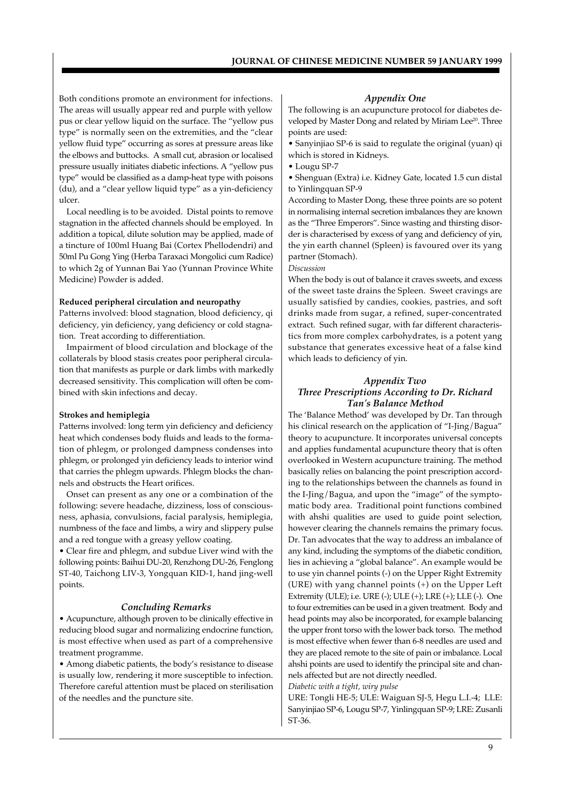Both conditions promote an environment for infections. The areas will usually appear red and purple with yellow pus or clear yellow liquid on the surface. The "yellow pus type" is normally seen on the extremities, and the "clear yellow fluid type" occurring as sores at pressure areas like the elbows and buttocks. A small cut, abrasion or localised pressure usually initiates diabetic infections. A "yellow pus type" would be classified as a damp-heat type with poisons (du), and a "clear yellow liquid type" as a yin-deficiency ulcer.

Local needling is to be avoided. Distal points to remove stagnation in the affected channels should be employed. In addition a topical, dilute solution may be applied, made of a tincture of 100ml Huang Bai (Cortex Phellodendri) and 50ml Pu Gong Ying (Herba Taraxaci Mongolici cum Radice) to which 2g of Yunnan Bai Yao (Yunnan Province White Medicine) Powder is added.

#### **Reduced peripheral circulation and neuropathy**

Patterns involved: blood stagnation, blood deficiency, qi deficiency, yin deficiency, yang deficiency or cold stagnation. Treat according to differentiation.

Impairment of blood circulation and blockage of the collaterals by blood stasis creates poor peripheral circulation that manifests as purple or dark limbs with markedly decreased sensitivity. This complication will often be combined with skin infections and decay.

#### **Strokes and hemiplegia**

Patterns involved: long term yin deficiency and deficiency heat which condenses body fluids and leads to the formation of phlegm, or prolonged dampness condenses into phlegm, or prolonged yin deficiency leads to interior wind that carries the phlegm upwards. Phlegm blocks the channels and obstructs the Heart orifices.

Onset can present as any one or a combination of the following: severe headache, dizziness, loss of consciousness, aphasia, convulsions, facial paralysis, hemiplegia, numbness of the face and limbs, a wiry and slippery pulse and a red tongue with a greasy yellow coating.

• Clear fire and phlegm, and subdue Liver wind with the following points: Baihui DU-20, Renzhong DU-26, Fenglong ST-40, Taichong LIV-3, Yongquan KID-1, hand jing-well points.

#### *Concluding Remarks*

• Acupuncture, although proven to be clinically effective in reducing blood sugar and normalizing endocrine function, is most effective when used as part of a comprehensive treatment programme.

• Among diabetic patients, the body's resistance to disease is usually low, rendering it more susceptible to infection. Therefore careful attention must be placed on sterilisation of the needles and the puncture site.

# *Appendix One*

The following is an acupuncture protocol for diabetes developed by Master Dong and related by Miriam Lee<sup>20</sup>. Three points are used:

• Sanyinjiao SP-6 is said to regulate the original (yuan) qi which is stored in Kidneys.

• Lougu SP-7

• Shenguan (Extra) i.e. Kidney Gate, located 1.5 cun distal to Yinlingquan SP-9

According to Master Dong, these three points are so potent in normalising internal secretion imbalances they are known as the "Three Emperors". Since wasting and thirsting disorder is characterised by excess of yang and deficiency of yin, the yin earth channel (Spleen) is favoured over its yang partner (Stomach).

*Discussion*

When the body is out of balance it craves sweets, and excess of the sweet taste drains the Spleen. Sweet cravings are usually satisfied by candies, cookies, pastries, and soft drinks made from sugar, a refined, super-concentrated extract. Such refined sugar, with far different characteristics from more complex carbohydrates, is a potent yang substance that generates excessive heat of a false kind which leads to deficiency of yin.

# *Appendix Two Three Prescriptions According to Dr. Richard Tan's Balance Method*

The 'Balance Method' was developed by Dr. Tan through his clinical research on the application of "I-Jing/Bagua" theory to acupuncture. It incorporates universal concepts and applies fundamental acupuncture theory that is often overlooked in Western acupuncture training. The method basically relies on balancing the point prescription according to the relationships between the channels as found in the I-Jing/Bagua, and upon the "image" of the symptomatic body area. Traditional point functions combined with ahshi qualities are used to guide point selection, however clearing the channels remains the primary focus. Dr. Tan advocates that the way to address an imbalance of any kind, including the symptoms of the diabetic condition, lies in achieving a "global balance". An example would be to use yin channel points (-) on the Upper Right Extremity (URE) with yang channel points (+) on the Upper Left Extremity (ULE); i.e. URE (-); ULE (+); LRE (+); LLE (-). One to four extremities can be used in a given treatment. Body and head points may also be incorporated, for example balancing the upper front torso with the lower back torso. The method is most effective when fewer than 6-8 needles are used and they are placed remote to the site of pain or imbalance. Local ahshi points are used to identify the principal site and channels affected but are not directly needled.

*Diabetic with a tight, wiry pulse*

URE: Tongli HE-5; ULE: Waiguan SJ-5, Hegu L.I.-4; LLE: Sanyinjiao SP-6, Lougu SP-7, Yinlingquan SP-9; LRE: Zusanli ST-36.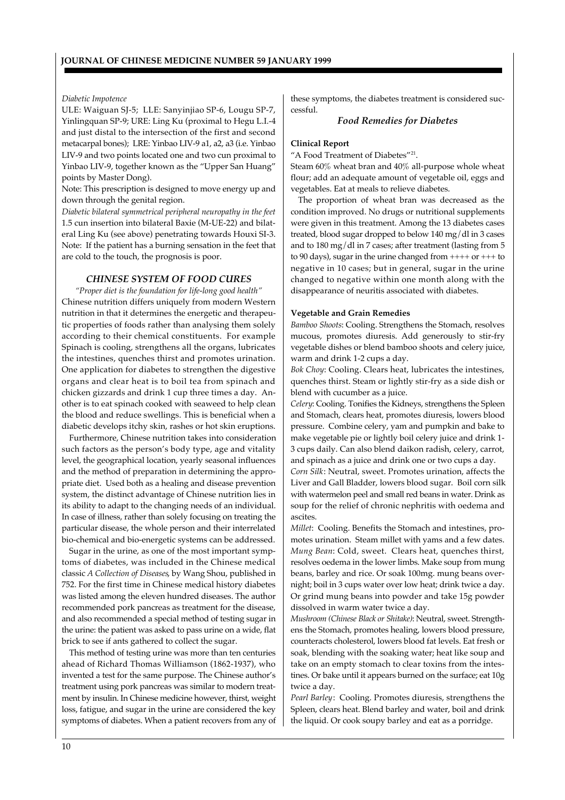# *Diabetic Impotence*

ULE: Waiguan SJ-5; LLE: Sanyinjiao SP-6, Lougu SP-7, Yinlingquan SP-9; URE: Ling Ku (proximal to Hegu L.I.-4 and just distal to the intersection of the first and second metacarpal bones); LRE: Yinbao LIV-9 a1, a2, a3 (i.e. Yinbao LIV-9 and two points located one and two cun proximal to Yinbao LIV-9, together known as the "Upper San Huang" points by Master Dong).

Note: This prescription is designed to move energy up and down through the genital region.

*Diabetic bilateral symmetrical peripheral neuropathy in the feet* 1.5 cun insertion into bilateral Baxie (M-UE-22) and bilateral Ling Ku (see above) penetrating towards Houxi SI-3. Note: If the patient has a burning sensation in the feet that are cold to the touch, the prognosis is poor.

# *CHINESE SYSTEM OF FOOD CURES*

*"Proper diet is the foundation for life-long good health"* Chinese nutrition differs uniquely from modern Western nutrition in that it determines the energetic and therapeutic properties of foods rather than analysing them solely according to their chemical constituents. For example Spinach is cooling, strengthens all the organs, lubricates the intestines, quenches thirst and promotes urination. One application for diabetes to strengthen the digestive organs and clear heat is to boil tea from spinach and chicken gizzards and drink 1 cup three times a day. Another is to eat spinach cooked with seaweed to help clean the blood and reduce swellings. This is beneficial when a diabetic develops itchy skin, rashes or hot skin eruptions.

Furthermore, Chinese nutrition takes into consideration such factors as the person's body type, age and vitality level, the geographical location, yearly seasonal influences and the method of preparation in determining the appropriate diet. Used both as a healing and disease prevention system, the distinct advantage of Chinese nutrition lies in its ability to adapt to the changing needs of an individual. In case of illness, rather than solely focusing on treating the particular disease, the whole person and their interrelated bio-chemical and bio-energetic systems can be addressed.

Sugar in the urine, as one of the most important symptoms of diabetes, was included in the Chinese medical classic *A Collection of Diseases*, by Wang Shou, published in 752. For the first time in Chinese medical history diabetes was listed among the eleven hundred diseases. The author recommended pork pancreas as treatment for the disease, and also recommended a special method of testing sugar in the urine: the patient was asked to pass urine on a wide, flat brick to see if ants gathered to collect the sugar.

This method of testing urine was more than ten centuries ahead of Richard Thomas Williamson (1862-1937), who invented a test for the same purpose. The Chinese author's treatment using pork pancreas was similar to modern treatment by insulin. In Chinese medicine however, thirst, weight loss, fatigue, and sugar in the urine are considered the key symptoms of diabetes. When a patient recovers from any of these symptoms, the diabetes treatment is considered successful.

# *Food Remedies for Diabetes*

#### **Clinical Report**

"A Food Treatment of Diabetes"<sup>21</sup>.

Steam 60% wheat bran and 40% all-purpose whole wheat flour; add an adequate amount of vegetable oil, eggs and vegetables. Eat at meals to relieve diabetes.

The proportion of wheat bran was decreased as the condition improved. No drugs or nutritional supplements were given in this treatment. Among the 13 diabetes cases treated, blood sugar dropped to below 140 mg/dl in 3 cases and to 180 mg/dl in 7 cases; after treatment (lasting from 5 to 90 days), sugar in the urine changed from  $+++$  or  $+++$ negative in 10 cases; but in general, sugar in the urine changed to negative within one month along with the disappearance of neuritis associated with diabetes.

# **Vegetable and Grain Remedies**

*Bamboo Shoots*: Cooling. Strengthens the Stomach, resolves mucous, promotes diuresis. Add generously to stir-fry vegetable dishes or blend bamboo shoots and celery juice, warm and drink 1-2 cups a day.

*Bok Choy*: Cooling. Clears heat, lubricates the intestines, quenches thirst. Steam or lightly stir-fry as a side dish or blend with cucumber as a juice.

*Celery*: Cooling. Tonifies the Kidneys, strengthens the Spleen and Stomach, clears heat, promotes diuresis, lowers blood pressure. Combine celery, yam and pumpkin and bake to make vegetable pie or lightly boil celery juice and drink 1- 3 cups daily. Can also blend daikon radish, celery, carrot, and spinach as a juice and drink one or two cups a day.

*Corn Silk*: Neutral, sweet. Promotes urination, affects the Liver and Gall Bladder, lowers blood sugar. Boil corn silk with watermelon peel and small red beans in water. Drink as soup for the relief of chronic nephritis with oedema and ascites.

*Millet*: Cooling. Benefits the Stomach and intestines, promotes urination. Steam millet with yams and a few dates. *Mung Bean*: Cold, sweet. Clears heat, quenches thirst, resolves oedema in the lower limbs. Make soup from mung beans, barley and rice. Or soak 100mg. mung beans overnight; boil in 3 cups water over low heat; drink twice a day. Or grind mung beans into powder and take 15g powder dissolved in warm water twice a day.

*Mushroom (Chinese Black or Shitake)*: Neutral, sweet. Strengthens the Stomach, promotes healing, lowers blood pressure, counteracts cholesterol, lowers blood fat levels. Eat fresh or soak, blending with the soaking water; heat like soup and take on an empty stomach to clear toxins from the intestines. Or bake until it appears burned on the surface; eat 10g twice a day.

*Pearl Barley*: Cooling. Promotes diuresis, strengthens the Spleen, clears heat. Blend barley and water, boil and drink the liquid. Or cook soupy barley and eat as a porridge.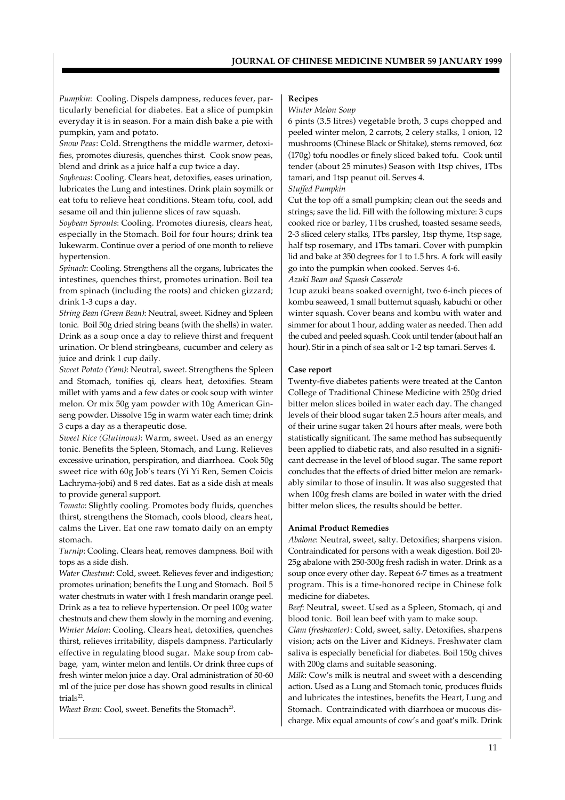*Pumpkin*: Cooling. Dispels dampness, reduces fever, particularly beneficial for diabetes. Eat a slice of pumpkin everyday it is in season. For a main dish bake a pie with pumpkin, yam and potato.

*Snow Peas*: Cold. Strengthens the middle warmer, detoxifies, promotes diuresis, quenches thirst. Cook snow peas, blend and drink as a juice half a cup twice a day.

*Soybeans*: Cooling. Clears heat, detoxifies, eases urination, lubricates the Lung and intestines. Drink plain soymilk or eat tofu to relieve heat conditions. Steam tofu, cool, add sesame oil and thin julienne slices of raw squash.

*Soybean Sprouts*: Cooling. Promotes diuresis, clears heat, especially in the Stomach. Boil for four hours; drink tea lukewarm. Continue over a period of one month to relieve hypertension.

*Spinach*: Cooling. Strengthens all the organs, lubricates the intestines, quenches thirst, promotes urination. Boil tea from spinach (including the roots) and chicken gizzard; drink 1-3 cups a day.

*String Bean (Green Bean)*: Neutral, sweet. Kidney and Spleen tonic. Boil 50g dried string beans (with the shells) in water. Drink as a soup once a day to relieve thirst and frequent urination. Or blend stringbeans, cucumber and celery as juice and drink 1 cup daily.

*Sweet Potato (Yam)*: Neutral, sweet. Strengthens the Spleen and Stomach, tonifies qi, clears heat, detoxifies. Steam millet with yams and a few dates or cook soup with winter melon. Or mix 50g yam powder with 10g American Ginseng powder. Dissolve 15g in warm water each time; drink 3 cups a day as a therapeutic dose.

*Sweet Rice (Glutinous)*: Warm, sweet. Used as an energy tonic. Benefits the Spleen, Stomach, and Lung. Relieves excessive urination, perspiration, and diarrhoea. Cook 50g sweet rice with 60g Job's tears (Yi Yi Ren, Semen Coicis Lachryma-jobi) and 8 red dates. Eat as a side dish at meals to provide general support.

*Tomato*: Slightly cooling. Promotes body fluids, quenches thirst, strengthens the Stomach, cools blood, clears heat, calms the Liver. Eat one raw tomato daily on an empty stomach.

*Turnip*: Cooling. Clears heat, removes dampness. Boil with tops as a side dish.

*Water Chestnut*: Cold, sweet. Relieves fever and indigestion; promotes urination; benefits the Lung and Stomach. Boil 5 water chestnuts in water with 1 fresh mandarin orange peel. Drink as a tea to relieve hypertension. Or peel 100g water chestnuts and chew them slowly in the morning and evening. *Winter Melon*: Cooling. Clears heat, detoxifies, quenches thirst, relieves irritability, dispels dampness. Particularly effective in regulating blood sugar. Make soup from cabbage, yam, winter melon and lentils. Or drink three cups of fresh winter melon juice a day. Oral administration of 50-60 ml of the juice per dose has shown good results in clinical trials<sup>22</sup>.

*Wheat Bran: Cool, sweet. Benefits the Stomach<sup>23</sup>.* 

# **Recipes**

# *Winter Melon Soup*

6 pints (3.5 litres) vegetable broth, 3 cups chopped and peeled winter melon, 2 carrots, 2 celery stalks, 1 onion, 12 mushrooms (Chinese Black or Shitake), stems removed, 6oz (170g) tofu noodles or finely sliced baked tofu. Cook until tender (about 25 minutes) Season with 1tsp chives, 1Tbs tamari, and 1tsp peanut oil. Serves 4.

#### *Stuffed Pumpkin*

Cut the top off a small pumpkin; clean out the seeds and strings; save the lid. Fill with the following mixture: 3 cups cooked rice or barley, 1Tbs crushed, toasted sesame seeds, 2-3 sliced celery stalks, 1Tbs parsley, 1tsp thyme, 1tsp sage, half tsp rosemary, and 1Tbs tamari. Cover with pumpkin lid and bake at 350 degrees for 1 to 1.5 hrs. A fork will easily go into the pumpkin when cooked. Serves 4-6.

# *Azuki Bean and Squash Casserole*

1cup azuki beans soaked overnight, two 6-inch pieces of kombu seaweed, 1 small butternut squash, kabuchi or other winter squash. Cover beans and kombu with water and simmer for about 1 hour, adding water as needed. Then add the cubed and peeled squash. Cook until tender (about half an hour). Stir in a pinch of sea salt or 1-2 tsp tamari. Serves 4.

# **Case report**

Twenty-five diabetes patients were treated at the Canton College of Traditional Chinese Medicine with 250g dried bitter melon slices boiled in water each day. The changed levels of their blood sugar taken 2.5 hours after meals, and of their urine sugar taken 24 hours after meals, were both statistically significant. The same method has subsequently been applied to diabetic rats, and also resulted in a significant decrease in the level of blood sugar. The same report concludes that the effects of dried bitter melon are remarkably similar to those of insulin. It was also suggested that when 100g fresh clams are boiled in water with the dried bitter melon slices, the results should be better.

#### **Animal Product Remedies**

*Abalone*: Neutral, sweet, salty. Detoxifies; sharpens vision. Contraindicated for persons with a weak digestion. Boil 20- 25g abalone with 250-300g fresh radish in water. Drink as a soup once every other day. Repeat 6-7 times as a treatment program. This is a time-honored recipe in Chinese folk medicine for diabetes.

*Beef*: Neutral, sweet. Used as a Spleen, Stomach, qi and blood tonic. Boil lean beef with yam to make soup.

*Clam (freshwater)*: Cold, sweet, salty. Detoxifies, sharpens vision; acts on the Liver and Kidneys. Freshwater clam saliva is especially beneficial for diabetes. Boil 150g chives with 200g clams and suitable seasoning.

*Milk*: Cow's milk is neutral and sweet with a descending action. Used as a Lung and Stomach tonic, produces fluids and lubricates the intestines, benefits the Heart, Lung and Stomach. Contraindicated with diarrhoea or mucous discharge. Mix equal amounts of cow's and goat's milk. Drink